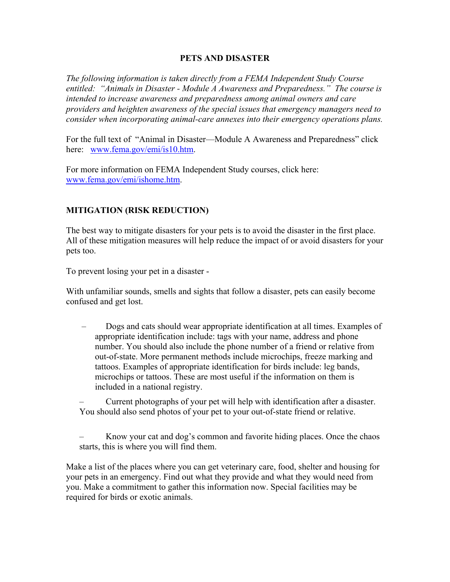### **PETS AND DISASTER**

*The following information is taken directly from a FEMA Independent Study Course entitled: "Animals in Disaster - Module A Awareness and Preparedness." The course is intended to increase awareness and preparedness among animal owners and care providers and heighten awareness of the special issues that emergency managers need to consider when incorporating animal-care annexes into their emergency operations plans.* 

For the full text of "Animal in Disaster—Module A Awareness and Preparedness" click here: [www.fema.gov/emi/is10.htm](http://www.fema.gov/emi/is10.htm).

For more information on FEMA Independent Study courses, click here: [www.fema.gov/emi/ishome.htm.](http://www.fema.gov/emi/ishome.htm)

### **MITIGATION (RISK REDUCTION)**

The best way to mitigate disasters for your pets is to avoid the disaster in the first place. All of these mitigation measures will help reduce the impact of or avoid disasters for your pets too.

To prevent losing your pet in a disaster -

With unfamiliar sounds, smells and sights that follow a disaster, pets can easily become confused and get lost.

– Dogs and cats should wear appropriate identification at all times. Examples of appropriate identification include: tags with your name, address and phone number. You should also include the phone number of a friend or relative from out-of-state. More permanent methods include microchips, freeze marking and tattoos. Examples of appropriate identification for birds include: leg bands, microchips or tattoos. These are most useful if the information on them is included in a national registry.

– Current photographs of your pet will help with identification after a disaster. You should also send photos of your pet to your out-of-state friend or relative.

Know your cat and dog's common and favorite hiding places. Once the chaos starts, this is where you will find them.

Make a list of the places where you can get veterinary care, food, shelter and housing for your pets in an emergency. Find out what they provide and what they would need from you. Make a commitment to gather this information now. Special facilities may be required for birds or exotic animals.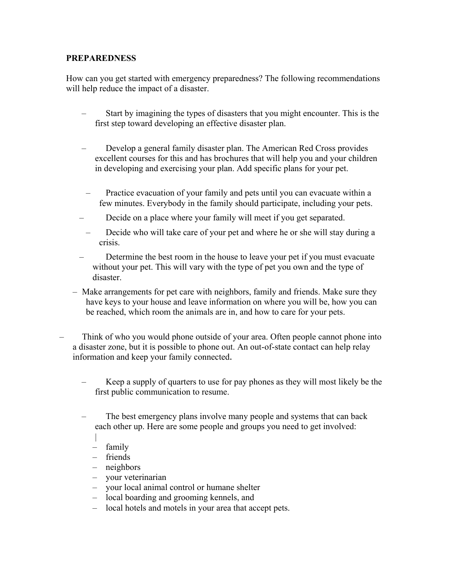### **PREPAREDNESS**

How can you get started with emergency preparedness? The following recommendations will help reduce the impact of a disaster.

- Start by imagining the types of disasters that you might encounter. This is the first step toward developing an effective disaster plan.
- Develop a general family disaster plan. The American Red Cross provides excellent courses for this and has brochures that will help you and your children in developing and exercising your plan. Add specific plans for your pet.
- Practice evacuation of your family and pets until you can evacuate within a few minutes. Everybody in the family should participate, including your pets.
- Decide on a place where your family will meet if you get separated.
- Decide who will take care of your pet and where he or she will stay during a crisis.
- Determine the best room in the house to leave your pet if you must evacuate without your pet. This will vary with the type of pet you own and the type of disaster.
- Make arrangements for pet care with neighbors, family and friends. Make sure they have keys to your house and leave information on where you will be, how you can be reached, which room the animals are in, and how to care for your pets.
- Think of who you would phone outside of your area. Often people cannot phone into a disaster zone, but it is possible to phone out. An out-of-state contact can help relay information and keep your family connected.
	- Keep a supply of quarters to use for pay phones as they will most likely be the first public communication to resume.
	- The best emergency plans involve many people and systems that can back each other up. Here are some people and groups you need to get involved:
		- |
		- family
		- friends
		- neighbors
		- your veterinarian
		- your local animal control or humane shelter
		- local boarding and grooming kennels, and
		- local hotels and motels in your area that accept pets.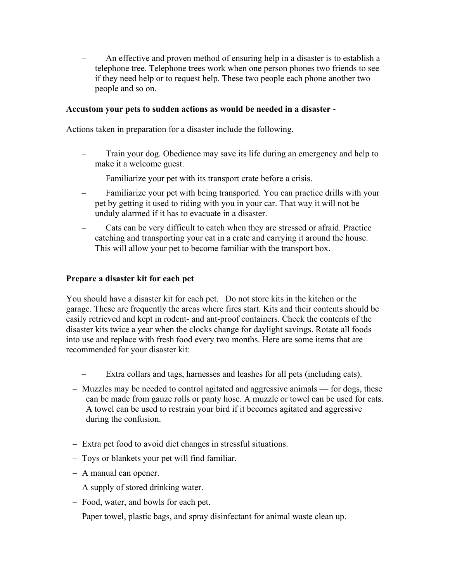– An effective and proven method of ensuring help in a disaster is to establish a telephone tree. Telephone trees work when one person phones two friends to see if they need help or to request help. These two people each phone another two people and so on.

### **Accustom your pets to sudden actions as would be needed in a disaster -**

Actions taken in preparation for a disaster include the following.

- Train your dog. Obedience may save its life during an emergency and help to make it a welcome guest.
- Familiarize your pet with its transport crate before a crisis.
- Familiarize your pet with being transported. You can practice drills with your pet by getting it used to riding with you in your car. That way it will not be unduly alarmed if it has to evacuate in a disaster.
- Cats can be very difficult to catch when they are stressed or afraid. Practice catching and transporting your cat in a crate and carrying it around the house. This will allow your pet to become familiar with the transport box.

### **Prepare a disaster kit for each pet**

You should have a disaster kit for each pet. Do not store kits in the kitchen or the garage. These are frequently the areas where fires start. Kits and their contents should be easily retrieved and kept in rodent- and ant-proof containers. Check the contents of the disaster kits twice a year when the clocks change for daylight savings. Rotate all foods into use and replace with fresh food every two months. Here are some items that are recommended for your disaster kit:

- Extra collars and tags, harnesses and leashes for all pets (including cats).
- Muzzles may be needed to control agitated and aggressive animals for dogs, these can be made from gauze rolls or panty hose. A muzzle or towel can be used for cats. A towel can be used to restrain your bird if it becomes agitated and aggressive during the confusion.
- Extra pet food to avoid diet changes in stressful situations.
- Toys or blankets your pet will find familiar.
- A manual can opener.
- A supply of stored drinking water.
- Food, water, and bowls for each pet.
- Paper towel, plastic bags, and spray disinfectant for animal waste clean up.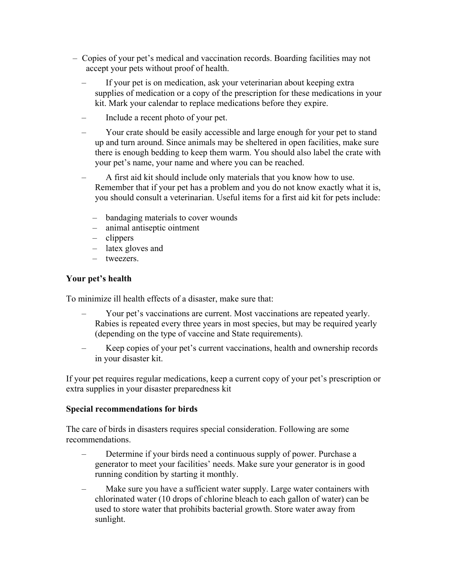- Copies of your pet's medical and vaccination records. Boarding facilities may not accept your pets without proof of health.
	- If your pet is on medication, ask your veterinarian about keeping extra supplies of medication or a copy of the prescription for these medications in your kit. Mark your calendar to replace medications before they expire.
	- Include a recent photo of your pet.
	- Your crate should be easily accessible and large enough for your pet to stand up and turn around. Since animals may be sheltered in open facilities, make sure there is enough bedding to keep them warm. You should also label the crate with your pet's name, your name and where you can be reached.
	- A first aid kit should include only materials that you know how to use. Remember that if your pet has a problem and you do not know exactly what it is, you should consult a veterinarian. Useful items for a first aid kit for pets include:
		- bandaging materials to cover wounds
		- animal antiseptic ointment
		- clippers
		- latex gloves and
		- tweezers.

## **Your pet's health**

To minimize ill health effects of a disaster, make sure that:

- Your pet's vaccinations are current. Most vaccinations are repeated yearly. Rabies is repeated every three years in most species, but may be required yearly (depending on the type of vaccine and State requirements).
- Keep copies of your pet's current vaccinations, health and ownership records in your disaster kit.

If your pet requires regular medications, keep a current copy of your pet's prescription or extra supplies in your disaster preparedness kit

### **Special recommendations for birds**

The care of birds in disasters requires special consideration. Following are some recommendations.

- Determine if your birds need a continuous supply of power. Purchase a generator to meet your facilities' needs. Make sure your generator is in good running condition by starting it monthly.
- Make sure you have a sufficient water supply. Large water containers with chlorinated water (10 drops of chlorine bleach to each gallon of water) can be used to store water that prohibits bacterial growth. Store water away from sunlight.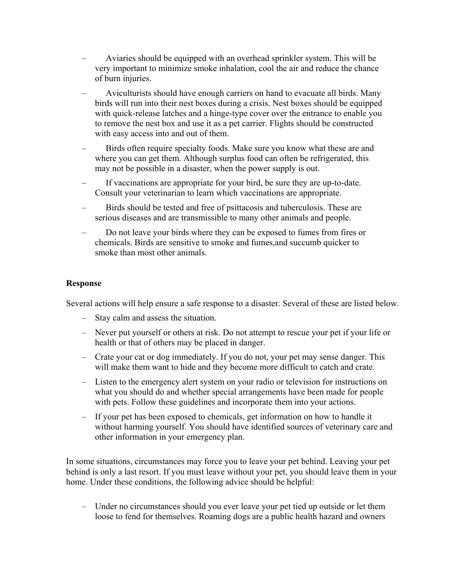- Aviaries should be equipped with an overhead sprinkler system. This will be very important to minimize smoke inhalation, cool the air and reduce the chance of burn injuries.
- Aviculturists should have enough carriers on hand to evacuate all birds. Many birds will run into their nest boxes during a crisis. Nest boxes should be equipped with quick-release latches and a hinge-type cover over the entrance to enable you to remove the nest box and use it as a pet carrier. Flights should be constructed with easy access into and out of them.
- Birds often require specialty foods. Make sure you know what these are and where you can get them. Although surplus food can often be refrigerated, this may not be possible in a disaster, when the power supply is out.
- If vaccinations are appropriate for your bird, be sure they are up-to-date. Consult your veterinarian to learn which vaccinations are appropriate.
- Birds should be tested and free of psittacosis and tuberculosis. These are serious diseases and are transmissible to many other animals and people.
- Do not leave your birds where they can be exposed to fumes from fires or chemicals. Birds are sensitive to smoke and fumes,and succumb quicker to smoke than most other animals.

#### **Response**

Several actions will help ensure a safe response to a disaster. Several of these are listed below.

- Stay calm and assess the situation.
- Never put yourself or others at risk. Do not attempt to rescue your pet if your life or health or that of others may be placed in danger.
- Crate your cat or dog immediately. If you do not, your pet may sense danger. This will make them want to hide and they become more difficult to catch and crate.
- Listen to the emergency alert system on your radio or television for instructions on what you should do and whether special arrangements have been made for people with pets. Follow these guidelines and incorporate them into your actions.
- If your pet has been exposed to chemicals, get information on how to handle it without harming yourself. You should have identified sources of veterinary care and other information in your emergency plan.

In some situations, circumstances may force you to leave your pet behind. Leaving your pet behind is only a last resort. If you must leave without your pet, you should leave them in your home. Under these conditions, the following advice should be helpful:

– Under no circumstances should you ever leave your pet tied up outside or let them loose to fend for themselves. Roaming dogs are a public health hazard and owners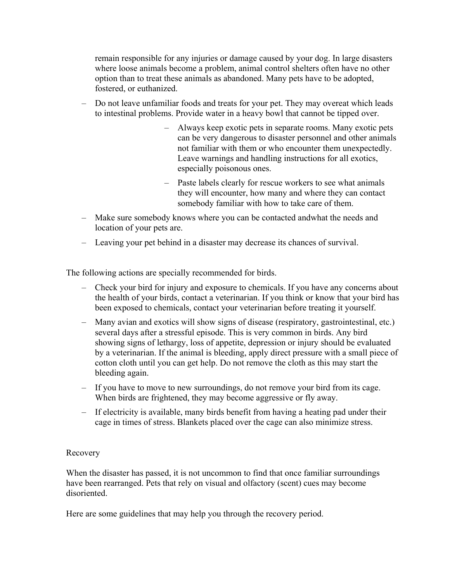remain responsible for any injuries or damage caused by your dog. In large disasters where loose animals become a problem, animal control shelters often have no other option than to treat these animals as abandoned. Many pets have to be adopted, fostered, or euthanized.

- Do not leave unfamiliar foods and treats for your pet. They may overeat which leads to intestinal problems. Provide water in a heavy bowl that cannot be tipped over.
	- Always keep exotic pets in separate rooms. Many exotic pets can be very dangerous to disaster personnel and other animals not familiar with them or who encounter them unexpectedly. Leave warnings and handling instructions for all exotics, especially poisonous ones.
	- Paste labels clearly for rescue workers to see what animals they will encounter, how many and where they can contact somebody familiar with how to take care of them.
- Make sure somebody knows where you can be contacted andwhat the needs and location of your pets are.
- Leaving your pet behind in a disaster may decrease its chances of survival.

The following actions are specially recommended for birds.

- Check your bird for injury and exposure to chemicals. If you have any concerns about the health of your birds, contact a veterinarian. If you think or know that your bird has been exposed to chemicals, contact your veterinarian before treating it yourself.
- Many avian and exotics will show signs of disease (respiratory, gastrointestinal, etc.) several days after a stressful episode. This is very common in birds. Any bird showing signs of lethargy, loss of appetite, depression or injury should be evaluated by a veterinarian. If the animal is bleeding, apply direct pressure with a small piece of cotton cloth until you can get help. Do not remove the cloth as this may start the bleeding again.
- If you have to move to new surroundings, do not remove your bird from its cage. When birds are frightened, they may become aggressive or fly away.
- If electricity is available, many birds benefit from having a heating pad under their cage in times of stress. Blankets placed over the cage can also minimize stress.

### Recovery

When the disaster has passed, it is not uncommon to find that once familiar surroundings have been rearranged. Pets that rely on visual and olfactory (scent) cues may become disoriented.

Here are some guidelines that may help you through the recovery period.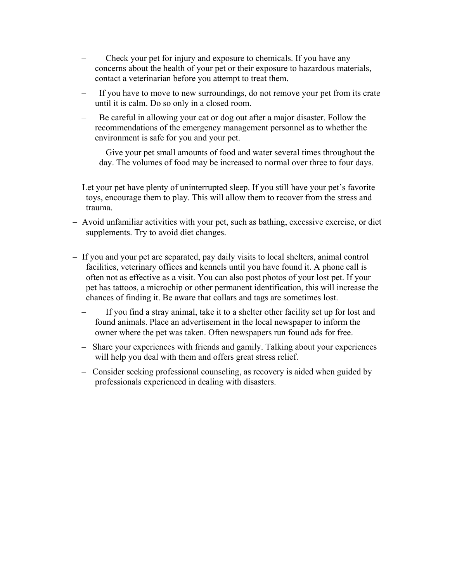- Check your pet for injury and exposure to chemicals. If you have any concerns about the health of your pet or their exposure to hazardous materials, contact a veterinarian before you attempt to treat them.
- If you have to move to new surroundings, do not remove your pet from its crate until it is calm. Do so only in a closed room.
- Be careful in allowing your cat or dog out after a major disaster. Follow the recommendations of the emergency management personnel as to whether the environment is safe for you and your pet.
- Give your pet small amounts of food and water several times throughout the day. The volumes of food may be increased to normal over three to four days.
- Let your pet have plenty of uninterrupted sleep. If you still have your pet's favorite toys, encourage them to play. This will allow them to recover from the stress and trauma.
- Avoid unfamiliar activities with your pet, such as bathing, excessive exercise, or diet supplements. Try to avoid diet changes.
- If you and your pet are separated, pay daily visits to local shelters, animal control facilities, veterinary offices and kennels until you have found it. A phone call is often not as effective as a visit. You can also post photos of your lost pet. If your pet has tattoos, a microchip or other permanent identification, this will increase the chances of finding it. Be aware that collars and tags are sometimes lost.
	- If you find a stray animal, take it to a shelter other facility set up for lost and found animals. Place an advertisement in the local newspaper to inform the owner where the pet was taken. Often newspapers run found ads for free.
	- Share your experiences with friends and gamily. Talking about your experiences will help you deal with them and offers great stress relief.
	- Consider seeking professional counseling, as recovery is aided when guided by professionals experienced in dealing with disasters.